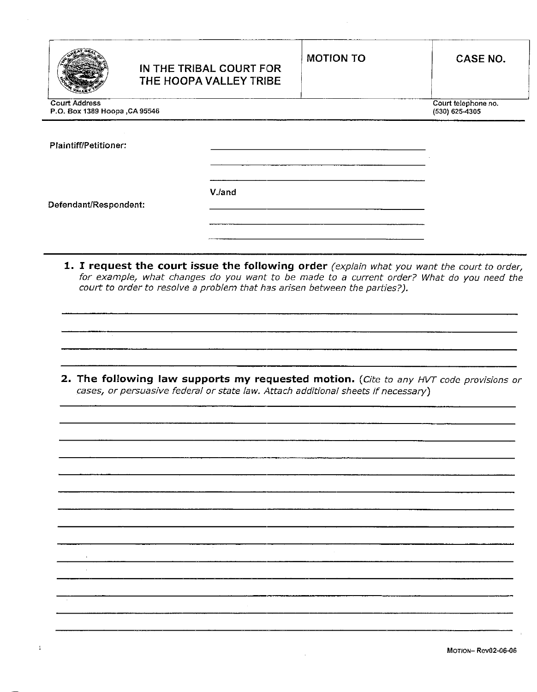|                                                       | IN THE TRIBAL COURT FOR<br>THE HOOPA VALLEY TRIBE | <b>MOTION TO</b> | <b>CASE NO.</b>                       |
|-------------------------------------------------------|---------------------------------------------------|------------------|---------------------------------------|
| <b>Court Address</b><br>P.O. Box 1389 Hoopa, CA 95546 |                                                   |                  | Court telephone no.<br>(530) 625-4305 |
| Plaintiff/Petitioner:                                 |                                                   |                  |                                       |
| Defendant/Respondent:                                 | V./and                                            |                  |                                       |
|                                                       |                                                   |                  |                                       |

1. I request the court issue the following order (explain what you want the court to order, for example, what changes do you want to be made to a current order? What do you need the court to order to resolve a problem that has arisen between the parties?).

2. The following law supports my requested motion. (Cite to any HVT code provisions or cases, or persuasive federal or state law. Attach additional sheets if necessary)

J.

 $\mathcal{L}^{\mathcal{L}}$ 

 $\mathbf 1$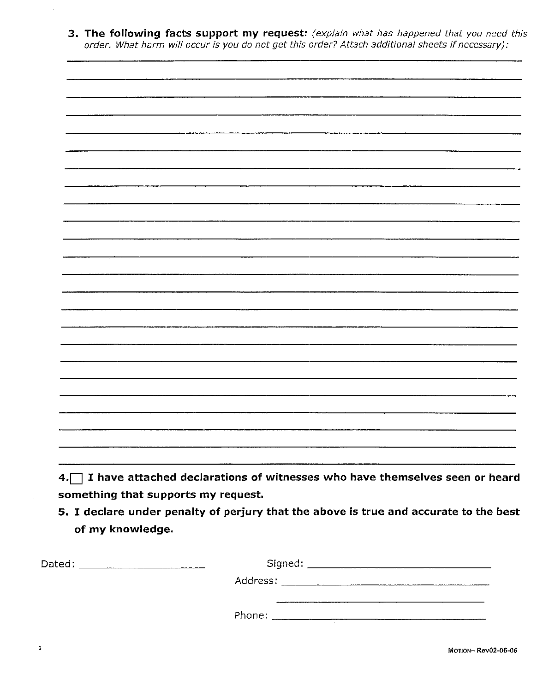3. The following facts support my request: (explain what has happened that you need this order. What harm will occur is you do not get this order? Attach additional sheets if necessary):

something that supports my request.

5. I declare under penalty of perjury that the above is true and accurate to the best of my knowledge.

| Dated: | Signed: ____________________                                                                                   |  |
|--------|----------------------------------------------------------------------------------------------------------------|--|
|        | Address: Andreas Address and Address and Address and Address and Address and Address and Address and Address a |  |
|        | Phone:                                                                                                         |  |